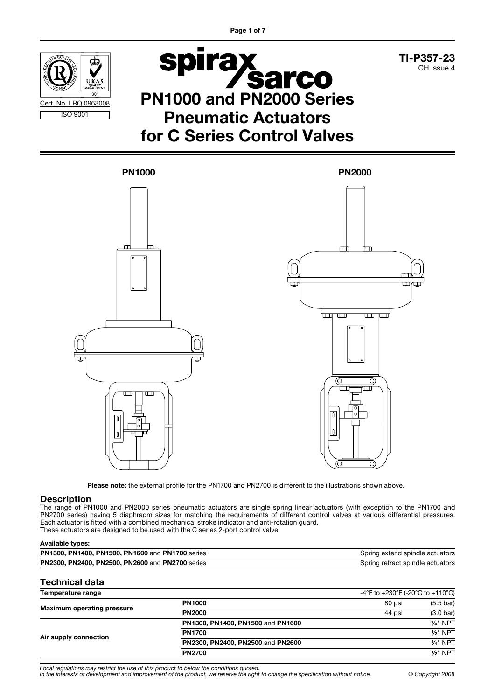

TI-P357-23 CH Issue 4

# **Spirax<br>PN1000 and PN2000 Series** Pneumatic Actuators for C Series Control Valves



Please note: the external profile for the PN1700 and PN2700 is different to the illustrations shown above.

#### **Description**

The range of PN1000 and PN2000 series pneumatic actuators are single spring linear actuators (with exception to the PN1700 and PN2700 series) having 5 diaphragm sizes for matching the requirements of different control valves at various differential pressures. Each actuator is fitted with a combined mechanical stroke indicator and anti-rotation guard. These actuators are designed to be used with the C series 2-port control valve.

#### Available types:

| <b>PN1300, PN1400, PN1500, PN1600 and PN1700 series</b> | Spring extend spindle actuators  |
|---------------------------------------------------------|----------------------------------|
| <b>PN2300, PN2400, PN2500, PN2600 and PN2700 series</b> | Spring retract spindle actuators |

#### Technical data

| Temperature range                 |                                   | -4°F to +230°F (-20°C to +110°C) |                     |
|-----------------------------------|-----------------------------------|----------------------------------|---------------------|
|                                   | <b>PN1000</b>                     | 80 psi                           | $(5.5 \text{ bar})$ |
| <b>Maximum operating pressure</b> | <b>PN2000</b>                     | 44 psi                           | $(3.0 \text{ bar})$ |
|                                   | PN1300, PN1400, PN1500 and PN1600 |                                  | $1/4$ " NPT         |
| Air supply connection             | <b>PN1700</b>                     |                                  | $1/2$ " NPT         |
|                                   | PN2300, PN2400, PN2500 and PN2600 |                                  | $1/4$ " NPT         |
|                                   | <b>PN2700</b>                     |                                  | $1/2$ " NPT         |

Local regulations may restrict the use of this product to below the conditions quoted.

In the interests of development and improvement of the product, we reserve the right to change the specification without notice. © Copyright 2008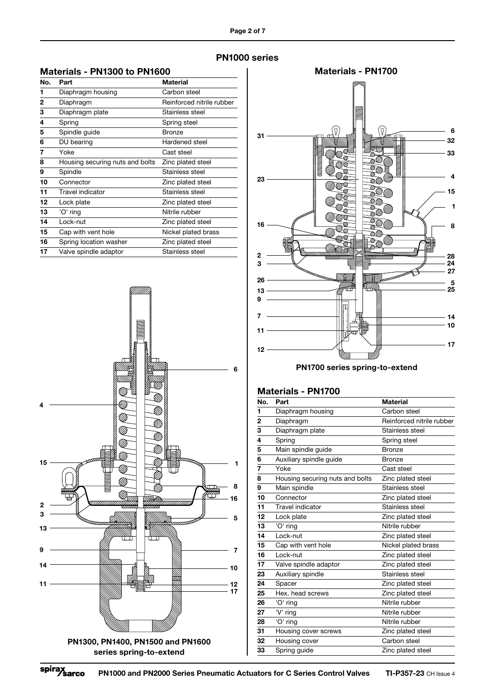PN1000 series

#### Materials - PN1300 to PN1600

| No. | Part                            | <b>Material</b>           |
|-----|---------------------------------|---------------------------|
| 1   | Diaphragm housing               | Carbon steel              |
| 2   | Diaphragm                       | Reinforced nitrile rubber |
| 3   | Diaphragm plate                 | Stainless steel           |
| 4   | Spring                          | Spring steel              |
| 5   | Spindle guide                   | Bronze                    |
| 6   | DU bearing                      | Hardened steel            |
| 7   | Yoke                            | Cast steel                |
| 8   | Housing securing nuts and bolts | Zinc plated steel         |
| 9   | Spindle                         | Stainless steel           |
| 10  | Connector                       | Zinc plated steel         |
| 11  | Travel indicator                | Stainless steel           |
| 12  | Lock plate                      | Zinc plated steel         |
| 13  | 'O' ring                        | Nitrile rubber            |
| 14  | Lock-nut                        | Zinc plated steel         |
| 15  | Cap with vent hole              | Nickel plated brass       |
| 16  | Spring location washer          | Zinc plated steel         |
| 17  | Valve spindle adaptor           | Stainless steel           |





PN1700 series spring-to-extend

#### Materials - PN1700

| No.            | Part                            | <b>Material</b>           |
|----------------|---------------------------------|---------------------------|
| 1              | Diaphragm housing               | Carbon steel              |
| $\overline{2}$ | Diaphragm                       | Reinforced nitrile rubber |
| 3              | Diaphragm plate                 | Stainless steel           |
| 4              | Spring                          | Spring steel              |
| 5              | Main spindle guide              | <b>Bronze</b>             |
| 6              | Auxiliary spindle guide         | <b>Bronze</b>             |
| 7              | Yoke                            | Cast steel                |
| 8              | Housing securing nuts and bolts | Zinc plated steel         |
| 9              | Main spindle                    | Stainless steel           |
| 10             | Connector                       | Zinc plated steel         |
| 11             | <b>Travel indicator</b>         | Stainless steel           |
| 12             | Lock plate                      | Zinc plated steel         |
| 13             | 'O' ring                        | Nitrile rubber            |
| 14             | Lock-nut                        | Zinc plated steel         |
| 15             | Cap with vent hole              | Nickel plated brass       |
| 16             | Lock-nut                        | Zinc plated steel         |
| 17             | Valve spindle adaptor           | Zinc plated steel         |
| 23             | Auxiliary spindle               | Stainless steel           |
| 24             | Spacer                          | Zinc plated steel         |
| 25             | Hex. head screws                | Zinc plated steel         |
| 26             | 'O' ring                        | Nitrile rubber            |
| 27             | V' ring                         | Nitrile rubber            |
| 28             | 'O' ring                        | Nitrile rubber            |
| 31             | Housing cover screws            | Zinc plated steel         |
| 32             | Housing cover                   | Carbon steel              |
| 33             | Spring guide                    | Zinc plated steel         |
|                |                                 |                           |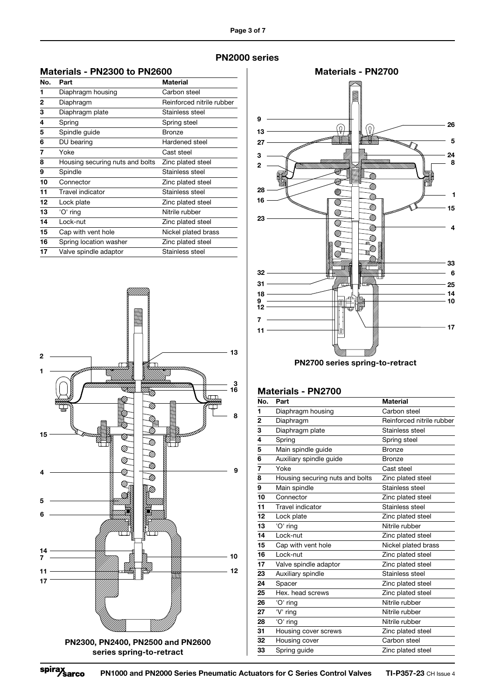| Materials - PN2300 to PN2600 |  |
|------------------------------|--|
|                              |  |

| No.          | Part                            | Material                  |
|--------------|---------------------------------|---------------------------|
| 1            | Diaphragm housing               | Carbon steel              |
| $\mathbf{2}$ | Diaphragm                       | Reinforced nitrile rubber |
| 3            | Diaphragm plate                 | Stainless steel           |
| 4            | Spring                          | Spring steel              |
| 5            | Spindle guide                   | Bronze                    |
| 6            | DU bearing                      | Hardened steel            |
| 7            | Yoke                            | Cast steel                |
| 8            | Housing securing nuts and bolts | Zinc plated steel         |
| 9            | Spindle                         | Stainless steel           |
| 10           | Connector                       | Zinc plated steel         |
| 11           | Travel indicator                | Stainless steel           |
| 12           | Lock plate                      | Zinc plated steel         |
| 13           | 'O' ring                        | Nitrile rubber            |
| 14           | Lock-nut                        | Zinc plated steel         |
| 15           | Cap with vent hole              | Nickel plated brass       |
| 16           | Spring location washer          | Zinc plated steel         |
| 17           | Valve spindle adaptor           | Stainless steel           |





PN2700 series spring-to-retract

#### Materials - PN2700

| No. | Part                            | <b>Material</b>           |
|-----|---------------------------------|---------------------------|
| 1   | Diaphragm housing               | Carbon steel              |
| 2   | Diaphragm                       | Reinforced nitrile rubber |
| 3   | Diaphragm plate                 | Stainless steel           |
| 4   | Spring                          | Spring steel              |
| 5   | Main spindle guide              | Bronze                    |
| 6   | Auxiliary spindle guide         | <b>Bronze</b>             |
| 7   | Yoke                            | Cast steel                |
| 8   | Housing securing nuts and bolts | Zinc plated steel         |
| 9   | Main spindle                    | Stainless steel           |
| 10  | Connector                       | Zinc plated steel         |
| 11  | Travel indicator                | Stainless steel           |
| 12  | Lock plate                      | Zinc plated steel         |
| 13  | 'O' ring                        | Nitrile rubber            |
| 14  | Lock-nut                        | Zinc plated steel         |
| 15  | Cap with vent hole              | Nickel plated brass       |
| 16  | Lock-nut                        | Zinc plated steel         |
| 17  | Valve spindle adaptor           | Zinc plated steel         |
| 23  | Auxiliary spindle               | Stainless steel           |
| 24  | Spacer                          | Zinc plated steel         |
| 25  | Hex. head screws                | Zinc plated steel         |
| 26  | 'O' ring                        | Nitrile rubber            |
| 27  | 'V' ring                        | Nitrile rubber            |
| 28  | 'O' ring                        | Nitrile rubber            |
| 31  | Housing cover screws            | Zinc plated steel         |
| 32  | Housing cover                   | Carbon steel              |
| 33  | Spring guide                    | Zinc plated steel         |
|     |                                 |                           |

#### PN2000 series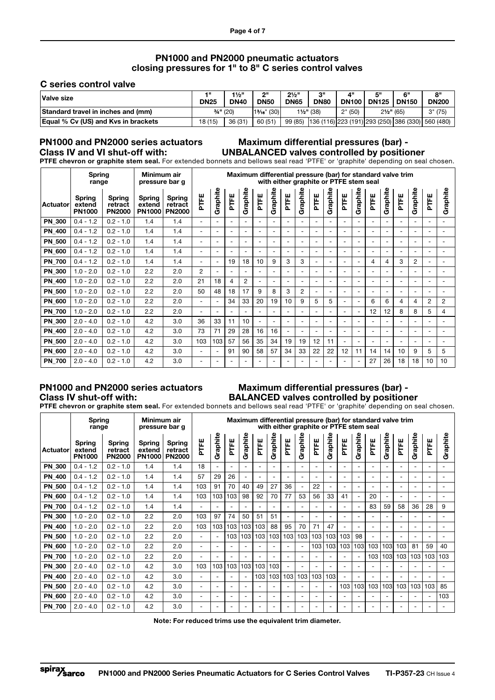#### PN1000 and PN2000 pneumatic actuators closing pressures for 1" to 8" C series control valves

#### C series control valve

| Valve size                                 | 4 H<br><b>DN25</b> | $1\frac{1}{2}$ "<br><b>DN40</b> | יימ<br>DN <sub>50</sub> | $2\frac{1}{2}$ "<br><b>DN65</b> | OШ<br><b>DN80</b>     | 4"      | κШ<br><b>DN100 DN125</b> | 6"<br><b>DN150</b> | RΜ<br><b>DN200</b>                                        |
|--------------------------------------------|--------------------|---------------------------------|-------------------------|---------------------------------|-----------------------|---------|--------------------------|--------------------|-----------------------------------------------------------|
| Standard travel in inches and (mm)         | $3/4$ " (20)       |                                 | $13/16$ " (30)          |                                 | $1\frac{1}{2}$ " (38) | 2" (50) | $2\frac{1}{2}$ " (65)    |                    | 3" (75)                                                   |
| <b>Equal % Cv (US) and Kys in brackets</b> | 18 (15)            | 36 (31)                         | 60 (51)                 |                                 |                       |         |                          |                    | 99 (85) 136 (116) 223 (191) 293 (250) 386 (330) 560 (480) |

#### PN1000 and PN2000 series actuators Class IV and VI shut-off with:

### Maximum differential pressures (bar) - UNBALANCED valves controlled by positioner

PTFE chevron or graphite stem seal. For extended bonnets and bellows seal read 'PTFE' or 'graphite' depending on seal chosen.

|               | Spring<br>range                          |                                    | Minimum air<br>pressure bar g            |                                           |                          |                          |                          |                          |                              |                          | with either graphite or PTFE stem seal |                          |                          |                          |                          |                          |                          |                          | Maximum differential pressure (bar) for standard valve trim |                          |                          |                          |
|---------------|------------------------------------------|------------------------------------|------------------------------------------|-------------------------------------------|--------------------------|--------------------------|--------------------------|--------------------------|------------------------------|--------------------------|----------------------------------------|--------------------------|--------------------------|--------------------------|--------------------------|--------------------------|--------------------------|--------------------------|-------------------------------------------------------------|--------------------------|--------------------------|--------------------------|
| Actuator      | <b>Spring</b><br>extend<br><b>PN1000</b> | Spring<br>retract<br><b>PN2000</b> | <b>Spring</b><br>extend<br><b>PN1000</b> | <b>Spring</b><br>retract<br><b>PN2000</b> | PTFE                     | Graphite                 | PTFE                     | Graphite                 | PTFE                         | Graphite                 | PTFE                                   | Graphite                 | PTFE                     | Graphite                 | PTFE                     | Graphite                 | PTFE                     | Graphite                 | PTFE                                                        | Graphite                 | PTFE                     | Graphite                 |
| <b>PN 300</b> | $0.4 - 1.2$                              | $0.2 - 1.0$                        | 1.4                                      | 1.4                                       | $\overline{\phantom{0}}$ | $\overline{\phantom{0}}$ | $\overline{\phantom{a}}$ | $\overline{\phantom{0}}$ | $\overline{\phantom{0}}$     | $\overline{\phantom{0}}$ |                                        | $\overline{\phantom{0}}$ |                          | $\overline{\phantom{0}}$ |                          | $\overline{\phantom{a}}$ |                          | $\overline{\phantom{a}}$ | $\overline{\phantom{0}}$                                    | $\overline{\phantom{a}}$ | $\overline{\phantom{0}}$ | $\overline{\phantom{a}}$ |
| <b>PN 400</b> | $0.4 - 1.2$                              | $0.2 - 1.0$                        | 1.4                                      | 1.4                                       | $\overline{\phantom{a}}$ |                          | $\overline{\phantom{a}}$ | $\overline{\phantom{0}}$ | $\overline{\phantom{0}}$     | $\overline{\phantom{a}}$ |                                        | $\overline{\phantom{a}}$ |                          | $\overline{\phantom{a}}$ |                          | $\overline{\phantom{a}}$ |                          | $\overline{\phantom{a}}$ | $\overline{\phantom{0}}$                                    | $\overline{\phantom{a}}$ | $\overline{a}$           | $\overline{\phantom{a}}$ |
| <b>PN 500</b> | $0.4 - 1.2$                              | $0.2 - 1.0$                        | 1.4                                      | 1.4                                       | $\overline{\phantom{0}}$ | $\overline{\phantom{a}}$ | $\overline{\phantom{a}}$ | $\overline{\phantom{0}}$ | $\overline{\phantom{0}}$     | $\overline{\phantom{a}}$ | $\overline{\phantom{0}}$               | $\overline{\phantom{0}}$ |                          | $\overline{\phantom{0}}$ |                          | $\overline{a}$           | $\overline{\phantom{0}}$ | $\overline{a}$           | $\overline{\phantom{0}}$                                    | $\overline{\phantom{a}}$ | $\overline{\phantom{a}}$ | $\overline{\phantom{a}}$ |
| <b>PN 600</b> | $0.4 - 1.2$                              | $0.2 - 1.0$                        | 1.4                                      | 1.4                                       | $\overline{\phantom{0}}$ | $\overline{\phantom{a}}$ | $\overline{\phantom{a}}$ | $\overline{\phantom{0}}$ | $\overline{\phantom{0}}$     | $\overline{\phantom{a}}$ | $\overline{\phantom{a}}$               | $\overline{\phantom{a}}$ | $\overline{\phantom{a}}$ | $\overline{\phantom{a}}$ | $\overline{\phantom{0}}$ | $\overline{\phantom{a}}$ | $\overline{\phantom{0}}$ | $\overline{\phantom{a}}$ | $\overline{\phantom{0}}$                                    | $\overline{\phantom{a}}$ | $\overline{\phantom{0}}$ | $\overline{\phantom{a}}$ |
| <b>PN 700</b> | $0.4 - 1.2$                              | $0.2 - 1.0$                        | 1.4                                      | 1.4                                       | $\overline{\phantom{a}}$ |                          | 19                       | 18                       | 10                           | 9                        | 3                                      | 3                        |                          | $\overline{\phantom{0}}$ |                          | $\overline{\phantom{a}}$ | 4                        | 4                        | 3                                                           | $\overline{2}$           | $\overline{\phantom{0}}$ |                          |
| <b>PN 300</b> | $1.0 - 2.0$                              | $0.2 - 1.0$                        | 2.2                                      | 2.0                                       | $\overline{2}$           |                          | $\overline{\phantom{a}}$ | $\overline{\phantom{0}}$ | $\overline{\phantom{0}}$     | $\overline{\phantom{0}}$ |                                        | $\overline{\phantom{0}}$ |                          | $\overline{\phantom{a}}$ |                          | $\overline{\phantom{a}}$ | $\overline{\phantom{0}}$ | $\overline{\phantom{a}}$ | $\overline{\phantom{0}}$                                    | $\overline{\phantom{a}}$ | $\overline{\phantom{0}}$ | $\overline{\phantom{a}}$ |
| <b>PN 400</b> | $1.0 - 2.0$                              | $0.2 - 1.0$                        | 2.2                                      | 2.0                                       | 21                       | 18                       | 4                        | $\overline{2}$           | $\overline{\phantom{0}}$     | $\overline{\phantom{a}}$ | $\overline{\phantom{a}}$               | $\overline{\phantom{0}}$ | ۰                        | $\overline{\phantom{a}}$ | $\overline{\phantom{0}}$ | $\overline{\phantom{a}}$ | $\overline{\phantom{0}}$ | $\overline{a}$           | $\overline{\phantom{0}}$                                    | $\overline{\phantom{a}}$ | $\overline{a}$           | $\overline{\phantom{a}}$ |
| <b>PN 500</b> | $1.0 - 2.0$                              | $0.2 - 1.0$                        | 2.2                                      | 2.0                                       | 50                       | 48                       | 18                       | 17                       | 9                            | 8                        | 3                                      | $\overline{2}$           |                          | $\overline{\phantom{a}}$ |                          | $\overline{\phantom{a}}$ | $\overline{\phantom{0}}$ | $\overline{\phantom{a}}$ | -                                                           | $\overline{\phantom{a}}$ | $\overline{\phantom{a}}$ | $\overline{\phantom{a}}$ |
| <b>PN 600</b> | $1.0 - 2.0$                              | $0.2 - 1.0$                        | 2.2                                      | 2.0                                       | $\overline{\phantom{0}}$ |                          | 34                       | 33                       | 20                           | 19                       | 10                                     | 9                        | 5                        | 5                        |                          | $\overline{\phantom{a}}$ | 6                        | 6                        | 4                                                           | 4                        | $\overline{2}$           | $\overline{2}$           |
| <b>PN 700</b> | $1.0 - 2.0$                              | $0.2 - 1.0$                        | 2.2                                      | 2.0                                       | $\overline{a}$           |                          | $\overline{a}$           | $\overline{a}$           | $\overline{\phantom{a}}$     | $\overline{a}$           | $\overline{a}$                         | $\overline{\phantom{0}}$ |                          | $\overline{a}$           |                          | $\overline{a}$           | 12                       | 12                       | 8                                                           | 8                        | 5                        | $\overline{4}$           |
| <b>PN 300</b> | $2.0 - 4.0$                              | $0.2 - 1.0$                        | 4.2                                      | 3.0                                       | 36                       | 33                       | 11                       | 10                       | $\qquad \qquad \blacksquare$ | $\overline{\phantom{a}}$ | $\overline{\phantom{a}}$               | $\overline{\phantom{a}}$ | $\overline{\phantom{0}}$ | $\overline{\phantom{a}}$ | $\overline{\phantom{0}}$ | $\overline{\phantom{a}}$ | $\overline{\phantom{0}}$ | $\overline{\phantom{a}}$ | $\overline{\phantom{0}}$                                    | $\overline{\phantom{a}}$ | $\overline{\phantom{0}}$ | $\overline{\phantom{a}}$ |
| <b>PN 400</b> | $2.0 - 4.0$                              | $0.2 - 1.0$                        | 4.2                                      | 3.0                                       | 73                       | 71                       | 29                       | 28                       | 16                           | 16                       |                                        | $\overline{\phantom{a}}$ |                          | $\overline{\phantom{0}}$ |                          |                          |                          | $\overline{\phantom{a}}$ | $\overline{\phantom{0}}$                                    | $\overline{\phantom{a}}$ | $\overline{\phantom{a}}$ |                          |
| <b>PN 500</b> | $2.0 - 4.0$                              | $0.2 - 1.0$                        | 4.2                                      | 3.0                                       | 103                      | 103                      | 57                       | 56                       | 35                           | 34                       | 19                                     | 19                       | 12                       | 11                       | $\overline{\phantom{0}}$ | $\overline{\phantom{a}}$ | $\overline{\phantom{0}}$ | $\overline{\phantom{a}}$ | $\overline{\phantom{0}}$                                    | $\overline{\phantom{a}}$ | $\overline{\phantom{0}}$ | $\overline{\phantom{a}}$ |
| <b>PN 600</b> | $2.0 - 4.0$                              | $0.2 - 1.0$                        | 4.2                                      | 3.0                                       | $\overline{\phantom{a}}$ |                          | 91                       | 90                       | 58                           | 57                       | 34                                     | 33                       | 22                       | 22                       | 12                       | 11                       | 14                       | 14                       | 10                                                          | 9                        | 5                        | 5                        |
| <b>PN 700</b> | $2.0 - 4.0$                              | $0.2 - 1.0$                        | 4.2                                      | 3.0                                       | $\overline{\phantom{a}}$ |                          | $\overline{\phantom{0}}$ | $\overline{\phantom{a}}$ | $\overline{\phantom{0}}$     | $\overline{\phantom{a}}$ |                                        | $\overline{\phantom{0}}$ |                          | $\overline{\phantom{a}}$ |                          | $\overline{\phantom{a}}$ | 27                       | 26                       | 18                                                          | 18                       | 10                       | 10                       |

#### PN1000 and PN2000 series actuators Class IV shut-off with:

#### Maximum differential pressures (bar) - BALANCED valves controlled by positioner

PTFE chevron or graphite stem seal. For extended bonnets and bellows seal read 'PTFE' or 'graphite' depending on seal chosen.

|               | <b>Spring</b><br>range                   |                                           | Minimum air<br>pressure bar g            |                                           |                          |                          |                          |                          |                          |                          |                          | with either graphite or PTFE stem seal |                          |                          |                          |                          |                          |                          | Maximum differential pressure (bar) for standard valve trim |                          |                          |                          |
|---------------|------------------------------------------|-------------------------------------------|------------------------------------------|-------------------------------------------|--------------------------|--------------------------|--------------------------|--------------------------|--------------------------|--------------------------|--------------------------|----------------------------------------|--------------------------|--------------------------|--------------------------|--------------------------|--------------------------|--------------------------|-------------------------------------------------------------|--------------------------|--------------------------|--------------------------|
| Actuator      | <b>Spring</b><br>extend<br><b>PN1000</b> | <b>Spring</b><br>retract<br><b>PN2000</b> | <b>Spring</b><br>extend<br><b>PN1000</b> | <b>Spring</b><br>retract<br><b>PN2000</b> | PTFE                     | Graphite                 | PTFE                     | Graphite                 | PTFE                     | Graphite                 | PTFE                     | Graphite                               | PTFE                     | Graphite                 | PTFE                     | Graphite                 | PTFE                     | Graphite                 | PTFE                                                        | Graphite                 | PTFE                     | Graphite                 |
| <b>PN 300</b> | $0.4 - 1.2$                              | $0.2 - 1.0$                               | 1.4                                      | 1.4                                       | 18                       | $\overline{\phantom{0}}$ | $\overline{\phantom{a}}$ | $\overline{\phantom{0}}$ | $\overline{\phantom{0}}$ | $\overline{\phantom{a}}$ | $\overline{\phantom{a}}$ | $\overline{\phantom{a}}$               | $\overline{\phantom{0}}$ | $\overline{\phantom{a}}$ | $\overline{\phantom{a}}$ | $\overline{\phantom{0}}$ |                          | $\overline{\phantom{a}}$ |                                                             | $\overline{\phantom{a}}$ | $\overline{\phantom{0}}$ | $\overline{\phantom{0}}$ |
| <b>PN 400</b> | $0.4 - 1.2$                              | $0.2 - 1.0$                               | 1.4                                      | 1.4                                       | 57                       | 29                       | 26                       | $\overline{\phantom{a}}$ | $\overline{\phantom{0}}$ | $\overline{\phantom{a}}$ |                          | $\overline{\phantom{0}}$               |                          | $\overline{\phantom{0}}$ |                          |                          |                          | $\overline{\phantom{a}}$ | $\overline{\phantom{0}}$                                    | $\overline{\phantom{0}}$ | $\overline{\phantom{0}}$ | $\overline{\phantom{0}}$ |
| <b>PN 500</b> | $0.4 - 1.2$                              | $0.2 - 1.0$                               | 1.4                                      | 1.4                                       | 103                      | 91                       | 70                       | 40                       | 49                       | 27                       | 36                       | $\overline{\phantom{a}}$               | 22                       | $\overline{\phantom{a}}$ |                          | $\overline{\phantom{a}}$ |                          | $\overline{\phantom{a}}$ | $\overline{\phantom{0}}$                                    | $\overline{\phantom{0}}$ | -                        | $\overline{\phantom{0}}$ |
| <b>PN 600</b> | $0.4 - 1.2$                              | $0.2 - 1.0$                               | 1.4                                      | 1.4                                       | 103                      | 103                      | 103                      | 98                       | 92                       | 70                       | 77                       | 53                                     | 56                       | 33                       | 41                       | $\overline{\phantom{a}}$ | 20                       | $\overline{\phantom{a}}$ | $\overline{\phantom{0}}$                                    | $\overline{\phantom{a}}$ | $\overline{\phantom{0}}$ | $\overline{\phantom{0}}$ |
| <b>PN 700</b> | $0.4 - 1.2$                              | $0.2 - 1.0$                               | 1.4                                      | 1.4                                       | $\overline{\phantom{0}}$ |                          | $\overline{\phantom{a}}$ | $\overline{\phantom{0}}$ |                          | $\overline{\phantom{a}}$ |                          | $\overline{\phantom{0}}$               |                          | $\overline{\phantom{0}}$ |                          | $\overline{\phantom{0}}$ | 83                       | 59                       | 58                                                          | 36                       | 28                       | 9                        |
| PN_300        | $1.0 - 2.0$                              | $0.2 - 1.0$                               | 2.2                                      | 2.0                                       | 103                      | 97                       | 74                       | 50                       | 51                       | 51                       |                          | $\overline{\phantom{a}}$               |                          | $\overline{\phantom{0}}$ |                          | $\overline{a}$           |                          | $\overline{\phantom{a}}$ |                                                             | $\overline{a}$           | $\overline{\phantom{0}}$ | $\overline{\phantom{0}}$ |
| PN_400        | $1.0 - 2.0$                              | $0.2 - 1.0$                               | 2.2                                      | 2.0                                       | 103                      | 103                      | 103                      | 103                      | 103                      | 88                       | 95                       | 70                                     | 71                       | 47                       |                          | $\overline{\phantom{a}}$ |                          | $\overline{\phantom{a}}$ | $\overline{\phantom{0}}$                                    | ٠                        | $\overline{\phantom{0}}$ | $\overline{\phantom{a}}$ |
| <b>PN 500</b> | $1.0 - 2.0$                              | $0.2 - 1.0$                               | 2.2                                      | 2.0                                       | $\overline{\phantom{a}}$ |                          | 103                      | 103                      | 103                      | 103                      | 103                      | 103                                    | 103                      | 103                      | 103                      | 98                       | $\overline{\phantom{0}}$ | $\overline{\phantom{a}}$ | $\overline{\phantom{0}}$                                    | $\overline{\phantom{a}}$ | $\overline{\phantom{a}}$ | $\overline{\phantom{0}}$ |
| <b>PN 600</b> | $1.0 - 2.0$                              | $0.2 - 1.0$                               | 2.2                                      | 2.0                                       | $\overline{\phantom{0}}$ |                          | $\overline{\phantom{a}}$ | $\overline{\phantom{0}}$ | $\overline{\phantom{0}}$ | $\overline{\phantom{a}}$ |                          | $\overline{\phantom{0}}$               | 103                      | 103                      | 103                      | 103                      | 103                      | 103                      | 103                                                         | 81                       | 59                       | 40                       |
| <b>PN 700</b> | $1.0 - 2.0$                              | $0.2 - 1.0$                               | 2.2                                      | 2.0                                       | $\overline{\phantom{a}}$ |                          | $\overline{\phantom{a}}$ | $\overline{\phantom{0}}$ | $\overline{\phantom{0}}$ | $\overline{\phantom{a}}$ | $\overline{a}$           | $\overline{\phantom{0}}$               |                          | $\overline{a}$           |                          | $\overline{a}$           | 103                      | 103                      | 103                                                         | 103                      | 103                      | 103                      |
| <b>PN 300</b> | $2.0 - 4.0$                              | $0.2 - 1.0$                               | 4.2                                      | 3.0                                       | 103                      | 103                      | 103 <sub>1</sub>         | 103                      | 103                      | 103                      | $\overline{\phantom{a}}$ | $\overline{\phantom{a}}$               | $\overline{\phantom{0}}$ | $\overline{\phantom{a}}$ | $\overline{\phantom{a}}$ | $\overline{\phantom{0}}$ |                          | $\overline{\phantom{a}}$ | $\overline{\phantom{0}}$                                    | $\overline{\phantom{a}}$ | $\overline{\phantom{0}}$ | $\overline{\phantom{0}}$ |
| <b>PN 400</b> | $2.0 - 4.0$                              | $0.2 - 1.0$                               | 4.2                                      | 3.0                                       | $\overline{\phantom{0}}$ |                          | $\overline{\phantom{a}}$ |                          | 103                      | 103                      | 103                      | 103                                    | 103                      | 103                      |                          |                          |                          |                          |                                                             |                          | $\overline{\phantom{0}}$ |                          |
| <b>PN 500</b> | $2.0 - 4.0$                              | $0.2 - 1.0$                               | 4.2                                      | 3.0                                       | $\overline{\phantom{0}}$ |                          | $\overline{\phantom{0}}$ | $\overline{\phantom{0}}$ | $\overline{\phantom{0}}$ | $\overline{\phantom{a}}$ |                          | $\overline{\phantom{0}}$               |                          | $\overline{\phantom{a}}$ | 103                      | 103                      | 103                      | 103                      | 103                                                         | 103 <sub>l</sub>         | 103                      | 85                       |
| <b>PN 600</b> | $2.0 - 4.0$                              | $0.2 - 1.0$                               | 4.2                                      | 3.0                                       | $\overline{\phantom{0}}$ | $\overline{\phantom{0}}$ | $\overline{\phantom{a}}$ | $\overline{\phantom{0}}$ | $\overline{\phantom{0}}$ | $\overline{\phantom{a}}$ | $\overline{\phantom{a}}$ | $\overline{\phantom{a}}$               | $\overline{\phantom{0}}$ | $\overline{\phantom{a}}$ | $\overline{\phantom{0}}$ | $\overline{\phantom{a}}$ |                          | $\overline{\phantom{a}}$ | $\overline{\phantom{0}}$                                    | $\overline{\phantom{a}}$ | $\overline{\phantom{0}}$ | 103                      |
| <b>PN 700</b> | $2.0 - 4.0$                              | $0.2 - 1.0$                               | 4.2                                      | 3.0                                       | $\overline{\phantom{a}}$ |                          | $\overline{\phantom{0}}$ | $\overline{\phantom{a}}$ | $\overline{\phantom{0}}$ | $\overline{\phantom{0}}$ |                          | $\overline{\phantom{0}}$               |                          | $\overline{\phantom{a}}$ |                          |                          |                          | $\overline{\phantom{a}}$ |                                                             | ۰                        | -                        | $\overline{\phantom{a}}$ |

Note: For reduced trims use the equivalent trim diameter.

spirax<br>Sarco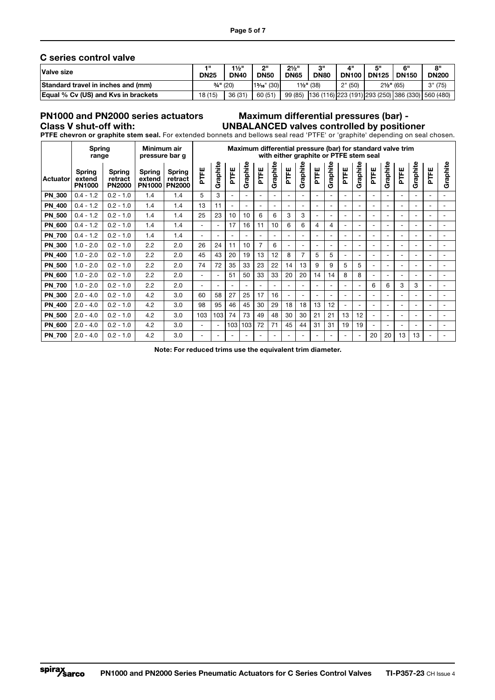#### C series control valve

| Valve size                                 | 4 H<br><b>DN25</b> | $1\frac{1}{2}$ "<br><b>DN40</b> | וור<br><b>DN50</b> | $2\frac{1}{2}$ "<br><b>DN65</b> | 20<br><b>DN80</b>     | 4"<br><b>DN100</b> | 局川<br><b>DN125</b>    | 6"<br><b>DN150</b> | 8"<br><b>DN200</b>                                |
|--------------------------------------------|--------------------|---------------------------------|--------------------|---------------------------------|-----------------------|--------------------|-----------------------|--------------------|---------------------------------------------------|
| Standard travel in inches and (mm)         | $3/4$ " (20)       |                                 | $13/16$ " (30)     |                                 | $1\frac{1}{2}$ " (38) | 2" (50)            | $2\frac{1}{2}$ " (65) |                    | 3" (75)                                           |
| <b>Equal % Cv (US) and Kys in brackets</b> | 18 (15)            | 36 (31)                         | 60 (51)            | 99 (85)                         |                       |                    |                       |                    | 136 (116) 223 (191) 293 (250) 386 (330) 560 (480) |

## PN1000 and PN2000 series actuators

#### Class V shut-off with: UNBALANCED valves controlled by positioner Maximum differential pressures (bar) -

PTFE chevron or graphite stem seal. For extended bonnets and bellows seal read 'PTFE' or 'graphite' depending on seal chosen.

|               | Spring<br>range                   |                                    | Minimum air<br>pressure bar g            |                                           |                          |                          |                          |                          |                          |                          |                          | with either graphite or PTFE stem seal |                          |                          |                          |                          |                          |                          | Maximum differential pressure (bar) for standard valve trim |                          |                          |                          |
|---------------|-----------------------------------|------------------------------------|------------------------------------------|-------------------------------------------|--------------------------|--------------------------|--------------------------|--------------------------|--------------------------|--------------------------|--------------------------|----------------------------------------|--------------------------|--------------------------|--------------------------|--------------------------|--------------------------|--------------------------|-------------------------------------------------------------|--------------------------|--------------------------|--------------------------|
| Actuator      | Spring<br>extend<br><b>PN1000</b> | Spring<br>retract<br><b>PN2000</b> | <b>Spring</b><br>extend<br><b>PN1000</b> | <b>Spring</b><br>retract<br><b>PN2000</b> | PTFE                     | Graphite                 | PTFE                     | Graphite                 | PTFE                     | Graphite                 | PTFE                     | Graphite                               | PTFE                     | Graphite                 | PTFE                     | Graphite                 | PTFE                     | Graphite                 | PTFE                                                        | Graphite                 | PTFE                     | Graphite                 |
| <b>PN 300</b> | $0.4 - 1.2$                       | $0.2 - 1.0$                        | 1.4                                      | 1.4                                       | 5                        | 3                        | $\overline{\phantom{a}}$ | $\overline{\phantom{0}}$ | $\overline{\phantom{a}}$ | $\overline{\phantom{a}}$ | $\overline{\phantom{a}}$ | $\overline{\phantom{a}}$               |                          | $\overline{\phantom{0}}$ |                          | $\overline{\phantom{a}}$ | $\overline{\phantom{0}}$ | $\overline{\phantom{a}}$ | $\overline{\phantom{0}}$                                    | $\overline{\phantom{a}}$ | $\overline{\phantom{0}}$ |                          |
| <b>PN 400</b> | $0.4 - 1.2$                       | $0.2 - 1.0$                        | 1.4                                      | 1.4                                       | 13                       | 11                       | $\overline{\phantom{a}}$ | $\overline{\phantom{a}}$ | $\overline{\phantom{0}}$ | $\overline{\phantom{a}}$ | $\overline{\phantom{a}}$ | $\overline{\phantom{a}}$               | $\overline{\phantom{0}}$ | $\overline{\phantom{0}}$ | $\overline{\phantom{0}}$ | $\overline{\phantom{a}}$ | $\overline{\phantom{0}}$ | $\overline{\phantom{a}}$ | $\overline{\phantom{0}}$                                    | $\overline{\phantom{a}}$ | $\overline{\phantom{0}}$ |                          |
| <b>PN 500</b> | $0.4 - 1.2$                       | $0.2 - 1.0$                        | 1.4                                      | 1.4                                       | 25                       | 23                       | 10                       | 10                       | 6                        | 6                        | 3                        | 3                                      | $\overline{\phantom{a}}$ | $\overline{\phantom{0}}$ |                          | $\overline{\phantom{a}}$ | $\overline{\phantom{0}}$ | $\overline{\phantom{a}}$ | $\overline{\phantom{0}}$                                    | $\overline{\phantom{a}}$ | $\overline{\phantom{a}}$ |                          |
| <b>PN 600</b> | $0.4 - 1.2$                       | $0.2 - 1.0$                        | 1.4                                      | 1.4                                       | $\overline{\phantom{0}}$ | $\overline{\phantom{a}}$ | 17                       | 16                       | 11                       | 10                       | 6                        | 6                                      | 4                        | 4                        | $\overline{\phantom{0}}$ | $\overline{\phantom{a}}$ | $\overline{\phantom{0}}$ | $\overline{\phantom{a}}$ | $\overline{\phantom{0}}$                                    | $\overline{\phantom{a}}$ | $\overline{\phantom{a}}$ | ۰                        |
| <b>PN 700</b> | $0.4 - 1.2$                       | $0.2 - 1.0$                        | 1.4                                      | 1.4                                       | $\overline{\phantom{0}}$ | $\overline{\phantom{0}}$ | $\overline{\phantom{0}}$ | $\overline{\phantom{0}}$ | $\overline{\phantom{a}}$ | $\overline{\phantom{0}}$ | $\overline{\phantom{a}}$ | $\overline{\phantom{a}}$               | $\overline{\phantom{0}}$ | $\overline{\phantom{0}}$ | $\overline{\phantom{a}}$ | $\overline{\phantom{a}}$ | $\overline{\phantom{0}}$ | $\overline{\phantom{a}}$ | $\overline{\phantom{0}}$                                    | $\overline{\phantom{a}}$ | $\overline{\phantom{a}}$ | $\overline{\phantom{a}}$ |
| <b>PN 300</b> | $1.0 - 2.0$                       | $0.2 - 1.0$                        | 2.2                                      | 2.0                                       | 26                       | 24                       | 11                       | 10                       | $\overline{7}$           | 6                        |                          | $\overline{\phantom{a}}$               |                          | $\overline{\phantom{0}}$ |                          | $\overline{\phantom{a}}$ |                          | $\overline{\phantom{a}}$ | $\overline{\phantom{0}}$                                    | $\overline{\phantom{0}}$ | $\overline{\phantom{a}}$ |                          |
| <b>PN 400</b> | $1.0 - 2.0$                       | $0.2 - 1.0$                        | 2.2                                      | 2.0                                       | 45                       | 43                       | 20                       | 19                       | 13                       | 12                       | 8                        | $\overline{7}$                         | 5                        | 5                        | $\overline{\phantom{a}}$ | $\overline{\phantom{a}}$ | -                        | $\overline{\phantom{a}}$ | $\overline{\phantom{0}}$                                    | $\overline{\phantom{a}}$ | $\overline{\phantom{a}}$ |                          |
| <b>PN 500</b> | $1.0 - 2.0$                       | $0.2 - 1.0$                        | 2.2                                      | 2.0                                       | 74                       | 72                       | 35                       | 33                       | 23                       | 22                       | 14                       | 13                                     | 9                        | 9                        | 5                        | 5                        | $\overline{\phantom{0}}$ | $\overline{\phantom{a}}$ | $\overline{\phantom{0}}$                                    | $\overline{\phantom{a}}$ | $\overline{\phantom{0}}$ |                          |
| <b>PN 600</b> | $1.0 - 2.0$                       | $0.2 - 1.0$                        | 2.2                                      | 2.0                                       | $\overline{\phantom{0}}$ | $\overline{\phantom{a}}$ | 51                       | 50                       | 33                       | 33                       | 20                       | 20                                     | 14                       | 14                       | 8                        | 8                        | $\overline{\phantom{0}}$ | $\overline{\phantom{a}}$ | $\overline{\phantom{0}}$                                    | $\overline{\phantom{a}}$ | $\overline{\phantom{0}}$ | $\overline{\phantom{a}}$ |
| <b>PN 700</b> | $1.0 - 2.0$                       | $0.2 - 1.0$                        | 2.2                                      | 2.0                                       | -                        | $\overline{\phantom{0}}$ | $\overline{\phantom{a}}$ | $\overline{\phantom{0}}$ | $\overline{\phantom{0}}$ | $\overline{\phantom{0}}$ |                          | $\overline{\phantom{a}}$               |                          | $\overline{\phantom{0}}$ |                          | $\overline{\phantom{a}}$ | 6                        | 6                        | 3                                                           | 3                        | $\overline{\phantom{0}}$ |                          |
| <b>PN 300</b> | $2.0 - 4.0$                       | $0.2 - 1.0$                        | 4.2                                      | 3.0                                       | 60                       | 58                       | 27                       | 25                       | 17                       | 16                       |                          | $\overline{\phantom{a}}$               |                          | $\overline{\phantom{0}}$ | $\overline{\phantom{0}}$ | $\overline{\phantom{a}}$ | $\overline{\phantom{0}}$ | $\overline{\phantom{a}}$ | $\overline{\phantom{0}}$                                    | $\overline{\phantom{a}}$ | $\overline{\phantom{a}}$ |                          |
| <b>PN 400</b> | $2.0 - 4.0$                       | $0.2 - 1.0$                        | 4.2                                      | 3.0                                       | 98                       | 95                       | 46                       | 45                       | 30                       | 29                       | 18                       | 18                                     | 13                       | 12                       | $\overline{\phantom{a}}$ | $\overline{\phantom{a}}$ | $\overline{\phantom{0}}$ | $\overline{\phantom{a}}$ | $\overline{\phantom{0}}$                                    | $\overline{\phantom{a}}$ | $\overline{\phantom{a}}$ | $\overline{\phantom{a}}$ |
| <b>PN 500</b> | $2.0 - 4.0$                       | $0.2 - 1.0$                        | 4.2                                      | 3.0                                       | 103                      | 103                      | 74                       | 73                       | 49                       | 48                       | 30                       | 30                                     | 21                       | 21                       | 13                       | 12                       | $\overline{\phantom{0}}$ | $\overline{\phantom{a}}$ | $\overline{\phantom{0}}$                                    | $\overline{\phantom{a}}$ | $\overline{\phantom{a}}$ |                          |
| <b>PN 600</b> | $2.0 - 4.0$                       | $0.2 - 1.0$                        | 4.2                                      | 3.0                                       | $\overline{\phantom{0}}$ |                          | 103                      | 103                      | 72                       | 71                       | 45                       | 44                                     | 31                       | 31                       | 19                       | 19                       |                          | $\overline{\phantom{a}}$ | $\overline{\phantom{0}}$                                    | $\overline{\phantom{a}}$ | $\overline{\phantom{a}}$ |                          |
| <b>PN_700</b> | $2.0 - 4.0$                       | $0.2 - 1.0$                        | 4.2                                      | 3.0                                       | $\overline{\phantom{0}}$ | $\overline{\phantom{0}}$ | $\overline{\phantom{a}}$ | $\overline{\phantom{a}}$ | $\overline{\phantom{0}}$ | $\overline{\phantom{a}}$ | $\overline{\phantom{a}}$ | $\overline{\phantom{a}}$               |                          | $\overline{\phantom{0}}$ | $\overline{\phantom{0}}$ | $\overline{\phantom{a}}$ | 20                       | 20                       | 13                                                          | 13                       | $\overline{\phantom{a}}$ |                          |

Note: For reduced trims use the equivalent trim diameter.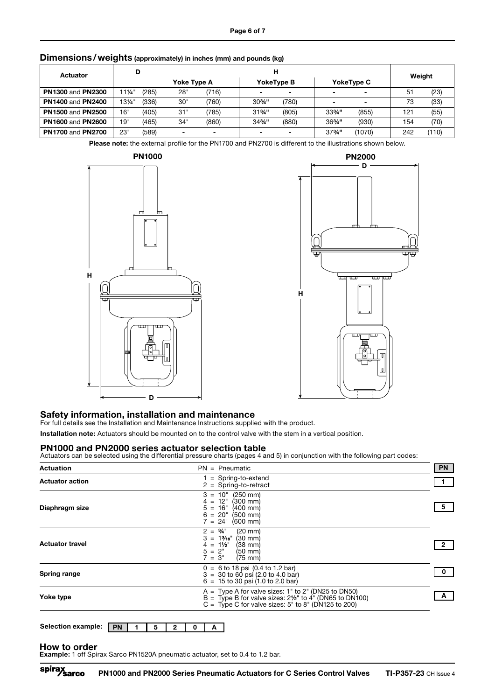| Actuator                 | D      |       | н           |                          |                   |                          |                   |                          | Weight |       |
|--------------------------|--------|-------|-------------|--------------------------|-------------------|--------------------------|-------------------|--------------------------|--------|-------|
|                          |        |       | Yoke Type A |                          |                   | YokeType B               |                   | <b>YokeType C</b>        |        |       |
| <b>PN1300 and PN2300</b> | 11¼"   | (285) | 28"         | (716)                    |                   | $\overline{\phantom{0}}$ |                   | $\overline{\phantom{0}}$ | 51     | (23)  |
| <b>PN1400 and PN2400</b> | 131⁄4" | (336) | 30"         | (760)                    | $30\%$ "          | (780)                    |                   | $\overline{\phantom{0}}$ | 73     | (33)  |
| <b>PN1500 and PN2500</b> | 16"    | (405) | 31"         | (785)                    | $31\frac{3}{4}$ " | (805)                    | $33\frac{3}{4}$ " | (855)                    | 121    | (55)  |
| <b>PN1600 and PN2600</b> | 19"    | (465) | 34"         | (860)                    | $34\frac{3}{4}$ " | (880)                    | $36\frac{3}{4}$ " | (930)                    | 154    | (70)  |
| <b>PN1700 and PN2700</b> | 23"    | (589) |             | $\overline{\phantom{0}}$ |                   | $\overline{\phantom{0}}$ | $37\frac{3}{4}$ " | (1070)                   | 242    | (110) |

## Dimensions / weights (approximately) in inches (mm) and pounds (kg)

Please note: the external profile for the PN1700 and PN2700 is different to the illustrations shown below.





#### Safety information, installation and maintenance

For full details see the Installation and Maintenance Instructions supplied with the product.

Installation note: Actuators should be mounted on to the control valve with the stem in a vertical position.

**PN1000 and PN2000 series actuator selection table**<br>Actuators can be selected using the differential pressure charts (pages 4 and 5) in conjunction with the following part codes:

| $PN = P$ neumatic<br><b>Actuation</b>                                                                                                                                                                             | <b>PN</b> |
|-------------------------------------------------------------------------------------------------------------------------------------------------------------------------------------------------------------------|-----------|
| $=$ Spring-to-extend<br><b>Actuator action</b><br>$2 =$ Spring-to-retract                                                                                                                                         |           |
| $3 = 10"$<br>$(250 \text{ mm})$<br>12"<br>$(300 \, \text{mm})$<br>$4 =$<br>$16"$ (400 mm)<br>$5 =$<br>Diaphragm size<br>$6 = 20$ " (500 mm)<br>$7 = 24^{\circ}$ (600 mm)                                          |           |
| $2 = \frac{3}{4}$ "<br>$(20 \text{ mm})$<br>$3 = 1\%$ <sup>e</sup><br>$(30 \text{ mm})$<br><b>Actuator travel</b><br>$4 = 1\frac{1}{2}$<br>$(38 \text{ mm})$<br>$5 = 2"$ (50 mm)<br>$7 = 3"$<br>$(75 \text{ mm})$ |           |
| $0 = 6$ to 18 psi (0.4 to 1.2 bar)<br>Spring range<br>$3 = 30$ to 60 psi (2.0 to 4.0 bar)<br>$6 = 15$ to 30 psi (1.0 to 2.0 bar)                                                                                  |           |
| $A = Type A$ for valve sizes: 1" to 2" (DN25 to DN50)<br>Yoke type<br>$B =$ Type B for valve sizes: 21/ <sub>2</sub> " to 4" (DN65 to DN100)<br>C = Type C for valve sizes: $5"$ to $8"$ (DN125 to 200)           |           |

| Selection example:   PN |  |  |  |  |  |  |  |
|-------------------------|--|--|--|--|--|--|--|
|-------------------------|--|--|--|--|--|--|--|

#### How to order

Example: 1 off Spirax Sarco PN1520A pneumatic actuator, set to 0.4 to 1.2 bar.